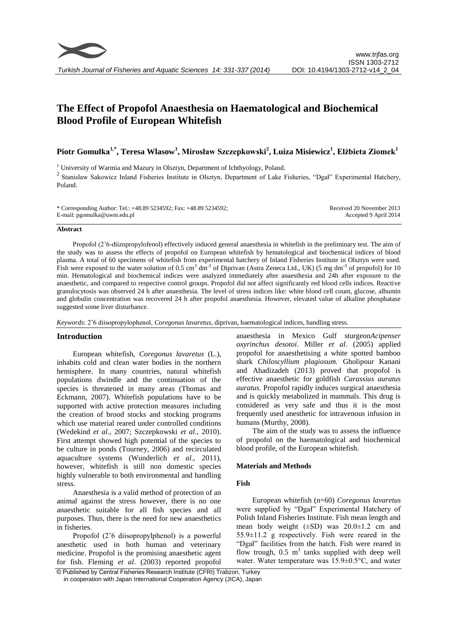# **The Effect of Propofol Anaesthesia on Haematological and Biochemical Blood Profile of European Whitefish**

**Piotr Gomułka1,\*, Teresa Wlasow<sup>1</sup> , Mirosław Szczepkowski<sup>2</sup> , Luiza Misiewicz<sup>1</sup> , Elżbieta Ziomek<sup>1</sup>**

<sup>1</sup> University of Warmia and Mazury in Olsztyn, Department of Ichthyology, Poland.

<sup>2</sup> Stanislaw Sakowicz Inland Fisheries Institute in Olsztyn, Department of Lake Fisheries, "Dgał" Experimental Hatchery, Poland.

| * Corresponding Author: Tel.: +48.89 5234592; Fax: +48.89 5234592; | Received 20 November 2013 |
|--------------------------------------------------------------------|---------------------------|
| E-mail: pgomulka@uwm.edu.pl                                        | Accepted 9 April 2014     |

#### **Abstract**

Propofol (2'6-diizopropylofenol) effectively induced general anaesthesia in whitefish in the preliminary test. The aim of the study was to assess the effects of propofol on European whitefish by hematological and biochemical indices of blood plasma. A total of 60 specimens of whitefish from experimental hatchery of Inland Fisheries Institute in Olsztyn were used. Fish were exposed to the water solution of 0.5 cm<sup>3</sup> dm<sup>-3</sup> of Diprivan (Astra Zeneca Ltd., UK) (5 mg dm<sup>-3</sup> of propofol) for 10 min. Hematological and biochemical indices were analyzed immediately after anaesthesia and 24h after exposure to the anaesthetic, and compared to respective control groups. Propofol did not affect significantly red blood cells indices. Reactive granulocytosis was observed 24 h after anaesthesia. The level of stress indices like: white blood cell count, glucose, albumin and globulin concentration was recovered 24 h after propofol anaesthesia. However, elevated value of alkaline phosphatase suggested some liver disturbance.

*Keywords*: 2'6 diisopropylophenol, *Coregonus lavaretus,* diprivan, haematological indices, handling stress.

## **Introduction**

European whitefish, *Coregonus lavaretus* (L.), inhabits cold and clean water bodies in the northern hemisphere. In many countries, natural whitefish populations dwindle and the continuation of the species is threatened in many areas (Thomas and Eckmann, 2007). Whitefish populations have to be supported with active protection measures including the creation of brood stocks and stocking programs which use material reared under controlled conditions (Wedekind *et al*., 2007; Szczepkowski *et al*., 2010). First attempt showed high potential of the species to be culture in ponds (Tourney, 2006) and recirculated aquaculture systems (Wunderlich *et al*., 2011), however, whitefish is still non domestic species highly vulnerable to both environmental and handling stress.

Anaesthesia is a valid method of protection of an animal against the stress however, there is no one anaesthetic suitable for all fish species and all purposes. Thus, there is the need for new anaesthetics in fisheries.

Propofol (2'6 diisopropylphenol) is a powerful anesthetic used in both human and veterinary medicine. Propofol is the promising anaesthetic agent for fish. Fleming *et al*. (2003) reported propofol

anaesthesia in Mexico Gulf sturgeon*Acipenser oxyrinchus desotoi*. Miller *et al*. (2005) applied propofol for anaesthetising a white spotted bamboo shark *Chiloscyllium plagiosum.* Gholipour Kanani and Ahadizadeh (2013) proved that propofol is effective anaesthetic for goldfish *Carassius auratus auratus*. Propofol rapidly induces surgical anaesthesia and is quickly metabolized in mammals. This drug is considered as very safe and thus it is the most frequently used anesthetic for intravenous infusion in humans (Murthy, 2008).

The aim of the study was to assess the influence of propofol on the haematological and biochemical blood profile, of the European whitefish.

## **Materials and Methods**

## **Fish**

European whitefish (n=60) *Coregonus lavaretus* were supplied by "Dgał" Experimental Hatchery of Polish Inland Fisheries Institute. Fish mean length and mean body weight  $(\pm SD)$  was  $20.0 \pm 1.2$  cm and 55.9±11.2 g respectively. Fish were reared in the "Dgał" facilities from the hatch. Fish were reared in flow trough,  $0.5 \text{ m}^3$  tanks supplied with deep well water. Water temperature was 15.9±0.5°C, and water

© Published by Central Fisheries Research Institute (CFRI) Trabzon, Turkey in cooperation with Japan International Cooperation Agency (JICA), Japan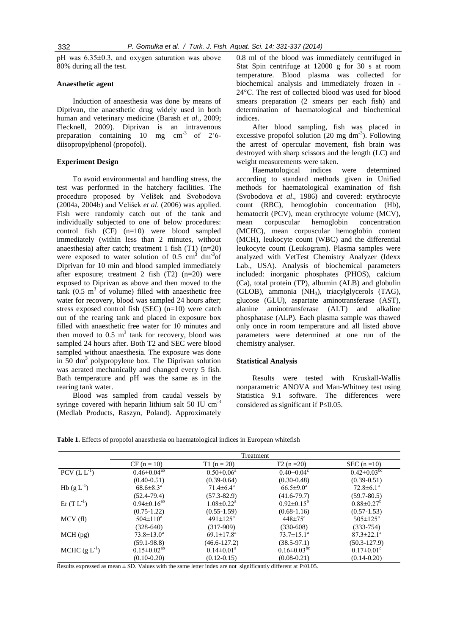pH was 6.35±0.3, and oxygen saturation was above 80% during all the test.

#### **Anaesthetic agent**

Induction of anaesthesia was done by means of Diprivan, the anaesthetic drug widely used in both human and veterinary medicine (Barash *et al*., 2009; Flecknell, 2009). Diprivan is an intravenous preparation containing  $10 \text{ mg cm}^3$  of  $2^{\circ}6$ diisopropylphenol (propofol).

#### **Experiment Design**

To avoid environmental and handling stress, the test was performed in the hatchery facilities. The procedure proposed by Velišek and Svobodova (2004a, 2004b) and Velišek *et al*. (2006) was applied. Fish were randomly catch out of the tank and individually subjected to one of below procedures: control fish (CF) (n=10) were blood sampled immediately (within less than 2 minutes, without anaesthesia) after catch; treatment 1 fish (T1) (n=20) were exposed to water solution of  $0.5 \text{ cm}^3 \text{ dm}^3$ of Diprivan for 10 min and blood sampled immediately after exposure; treatment 2 fish  $(T2)$   $(n=20)$  were exposed to Diprivan as above and then moved to the  $tanh$  (0.5 m<sup>3</sup> of volume) filled with anaesthetic free water for recovery, blood was sampled 24 hours after; stress exposed control fish (SEC) (n=10) were catch out of the rearing tank and placed in exposure box filled with anaesthetic free water for 10 minutes and then moved to  $0.5 \text{ m}^3$  tank for recovery, blood was sampled 24 hours after. Both T2 and SEC were blood sampled without anaesthesia. The exposure was done in  $50 \text{ dm}^3$  polypropylene box. The Diprivan solution was aerated mechanically and changed every 5 fish. Bath temperature and pH was the same as in the rearing tank water.

Blood was sampled from caudal vessels by syringe covered with heparin lithium salt 50 IU cm<sup>-3</sup> (Medlab Products, Raszyn, Poland). Approximately 0.8 ml of the blood was immediately centrifuged in Stat Spin centrifuge at 12000 g for 30 s at room temperature. Blood plasma was collected for biochemical analysis and immediately frozen in - 24°C. The rest of collected blood was used for blood smears preparation (2 smears per each fish) and determination of haematological and biochemical indices.

After blood sampling, fish was placed in excessive propofol solution  $(20 \text{ mg dm}^3)$ . Following the arrest of opercular movement, fish brain was destroyed with sharp scissors and the length (LC) and weight measurements were taken.

Haematological indices were determined according to standard methods given in Unified methods for haematological examination of fish (Svobodova *et al*., 1986) and covered: erythrocyte count (RBC), hemoglobin concentration (Hb), hematocrit (PCV), mean erythrocyte volume (MCV), mean corpuscular hemoglobin concentration (MCHC), mean corpuscular hemoglobin content (MCH), leukocyte count (WBC) and the differential leukocyte count (Leukogram). Plasma samples were analyzed with VetTest Chemistry Analyzer (Idexx Lab., USA). Analysis of biochemical parameters included: inorganic phosphates (PHOS), calcium (Ca), total protein (TP), albumin (ALB) and globulin (GLOB), ammonia (NH3), triacylglycerols (TAG), glucose (GLU), aspartate aminotransferase (AST), alanine aminotransferase (ALT) and alkaline phosphatase (ALP). Each plasma sample was thawed only once in room temperature and all listed above parameters were determined at one run of the chemistry analyser.

#### **Statistical Analysis**

Results were tested with Kruskall-Wallis nonparametric ANOVA and Man-Whitney test using Statistica 9.1 software. The differences were considered as significant if  $P\leq 0.05$ .

**Table 1.** Effects of propofol anaesthesia on haematological indices in European whitefish

|                     | Treatment                     |                              |                               |                               |  |
|---------------------|-------------------------------|------------------------------|-------------------------------|-------------------------------|--|
|                     | $CF (n = 10)$                 | $T1(n = 20)$                 | $T2(n=20)$                    | SEC $(n=10)$                  |  |
| $PCV$ (L $L^{-1}$ ) | $0.46 \pm 0.04^{ab}$          | $0.50 \pm 0.06^a$            | $0.40 \pm 0.04$ <sup>c</sup>  | $0.42 \pm 0.03$ <sup>bc</sup> |  |
|                     | $(0.40 - 0.51)$               | $(0.39 - 0.64)$              | $(0.30 - 0.48)$               | $(0.39 - 0.51)$               |  |
| $Hb$ (g $L^{-1}$ )  | $68.6 \pm 8.3^{\circ}$        | $71.4 \pm 6.4^{\circ}$       | $66.5 \pm 9.0^a$              | $72.8 \pm 6.1^{\text{a}}$     |  |
|                     | $(52.4 - 79.4)$               | $(57.3 - 82.9)$              | $(41.6 - 79.7)$               | $(59.7 - 80.5)$               |  |
| $\rm Er~(T~L^{-1})$ | $0.94 \pm 0.16^{ab}$          | $1.08 \pm 0.22$ <sup>a</sup> | $0.92 \pm 0.15^b$             | $0.88 \pm 0.27$ <sup>b</sup>  |  |
|                     | $(0.75 - 1.22)$               | $(0.55 - 1.59)$              | $(0.68 - 1.16)$               | $(0.57 - 1.53)$               |  |
| MCV(f)              | $504 \pm 110^a$               | $491 \pm 125^{\text{a}}$     | $448 \pm 75^{\text{a}}$       | $505 \pm 125^{\rm a}$         |  |
|                     | $(328-640)$                   | $(317-909)$                  | $(330-608)$                   | $(333 - 754)$                 |  |
| $MCH$ (pg)          | $73.8 \pm 13.0^a$             | $69.1 \pm 17.8^{\text{a}}$   | $73.7 \pm 15.1^a$             | $87.3 \pm 22.1^a$             |  |
|                     | $(59.1 - 98.8)$               | $(46.6 - 127.2)$             | $(38.5 - 97.1)$               | $(50.3 - 127.9)$              |  |
| MCHC $(g L^{-1})$   | $0.15 \pm 0.02$ <sup>ab</sup> | $0.14 \pm 0.01^a$            | $0.16 \pm 0.03$ <sup>bc</sup> | $0.17 \pm 0.01$ <sup>c</sup>  |  |
|                     | $(0.10 - 0.20)$               | $(0.12 - 0.15)$              | $(0.08 - 0.21)$               | $(0.14 - 0.20)$               |  |

Results expressed as mean  $\pm$  SD. Values with the same letter index are not significantly different at P $\leq$ 0.05.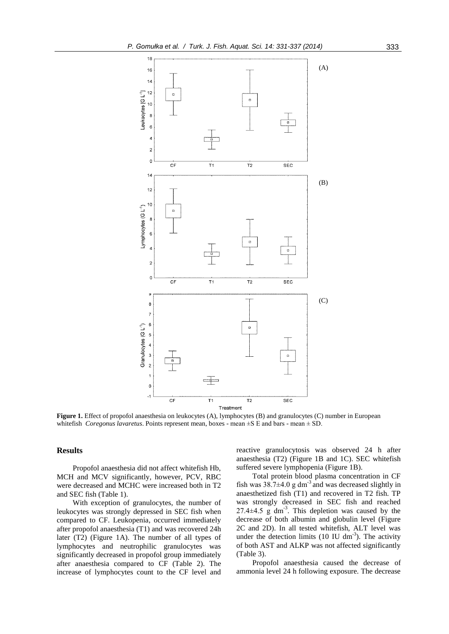

**Figure 1.** Effect of propofol anaesthesia on leukocytes (A), lymphocytes (B) and granulocytes (C) number in European whitefish *Coregonus lavaretus*. Points represent mean, boxes - mean ±S E and bars - mean ± SD.

## **Results**

Propofol anaesthesia did not affect whitefish Hb, MCH and MCV significantly, however, PCV, RBC were decreased and MCHC were increased both in T2 and SEC fish (Table 1).

With exception of granulocytes, the number of leukocytes was strongly depressed in SEC fish when compared to CF. Leukopenia, occurred immediately after propofol anaesthesia (T1) and was recovered 24h later (T2) (Figure 1A). The number of all types of lymphocytes and neutrophilic granulocytes was significantly decreased in propofol group immediately after anaesthesia compared to CF (Table 2). The increase of lymphocytes count to the CF level and reactive granulocytosis was observed 24 h after anaesthesia (T2) (Figure 1B and 1C). SEC whitefish suffered severe lymphopenia (Figure 1B).

Total protein blood plasma concentration in CF fish was  $38.7 \pm 4.0$  g dm<sup>-3</sup> and was decreased slightly in anaesthetized fish (T1) and recovered in T2 fish. TP was strongly decreased in SEC fish and reached  $27.4\pm4.5$  g dm<sup>-3</sup>. This depletion was caused by the decrease of both albumin and globulin level (Figure 2C and 2D). In all tested whitefish, ALT level was under the detection limits  $(10 \text{ IU dm}^{-3})$ . The activity of both AST and ALKP was not affected significantly (Table 3).

Propofol anaesthesia caused the decrease of ammonia level 24 h following exposure. The decrease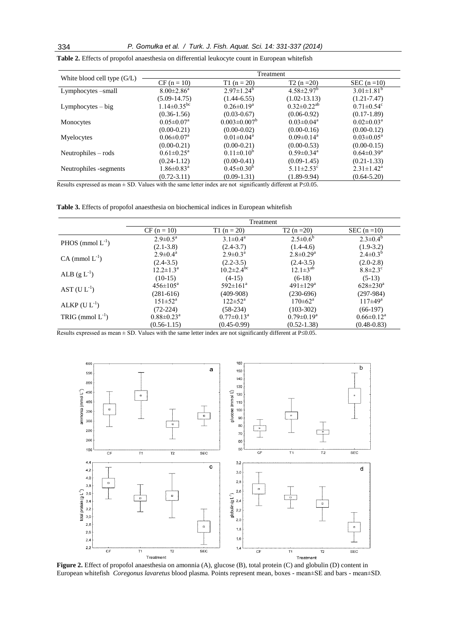|                               | Treatment                     |                              |                              |                              |
|-------------------------------|-------------------------------|------------------------------|------------------------------|------------------------------|
| White blood cell type $(G/L)$ | $CF (n = 10)$                 | $T1(n = 20)$                 | $T2(n=20)$                   | SEC $(n=10)$                 |
| Lymphocytes –small            | $8.00 \pm 2.86^a$             | $2.97 \pm 1.24^b$            | $4.58 \pm 2.97$ <sup>b</sup> | $3.01 \pm 1.81^b$            |
|                               | $(5.09 - 14.75)$              | $(1.44 - 6.55)$              | $(1.02 - 13.13)$             | $(1.21 - 7.47)$              |
| $Lymphocytes - big$           | $1.14 \pm 0.35$ <sup>bc</sup> | $0.26 \pm 0.19^a$            | $0.32 \pm 0.22^{ab}$         | $0.71 \pm 0.54$ <sup>c</sup> |
|                               | $(0.36 - 1.56)$               | $(0.03 - 0.67)$              | $(0.06 - 0.92)$              | $(0.17-1.89)$                |
| Monocytes                     | $0.05 \pm 0.07^{\text{a}}$    | $0.003 \pm 0.007^b$          | $0.03 \pm 0.04^{\text{a}}$   | $0.02 \pm 0.03^{\text{a}}$   |
|                               | $(0.00 - 0.21)$               | $(0.00 - 0.02)$              | $(0.00-0.16)$                | $(0.00-0.12)$                |
| Myelocytes                    | $0.06 \pm 0.07$ <sup>a</sup>  | $0.01 \pm 0.04$ <sup>a</sup> | $0.09 \pm 0.14$ <sup>a</sup> | $0.03 \pm 0.05^{\text{a}}$   |
|                               | $(0.00-0.21)$                 | $(0.00 - 0.21)$              | $(0.00 - 0.53)$              | $(0.00-0.15)$                |
| Neutrophiles $-$ rods         | $0.61 \pm 0.25^{\text{a}}$    | $0.11 \pm 0.10^{b}$          | $0.59 \pm 0.34$ <sup>a</sup> | $0.64 \pm 0.39$ <sup>a</sup> |
|                               | $(0.24 - 1.12)$               | $(0.00 - 0.41)$              | $(0.09-1.45)$                | $(0.21 - 1.33)$              |
| Neutrophiles -segments        | $1.86 \pm 0.83$ <sup>a</sup>  | $0.45 \pm 0.30^{\circ}$      | $5.11 \pm 2.53$ <sup>c</sup> | $2.31 \pm 1.42^a$            |
|                               | $(0.72 - 3.11)$               | $(0.09 - 1.31)$              | $(1.89 - 9.94)$              | $(0.64 - 5.20)$              |

**Table 2.** Effects of propofol anaesthesia on differential leukocyte count in European whitefish

Results expressed as mean  $\pm$  SD. Values with the same letter index are not significantly different at P $\leq$ 0.05.

**Table 3.** Effects of propofol anaesthesia on biochemical indices in European whitefish

|                             | Treatment                    |                            |                             |                       |
|-----------------------------|------------------------------|----------------------------|-----------------------------|-----------------------|
|                             | $CF (n = 10)$                | T1 ( $n = 20$ )            | $T2(n=20)$                  | SEC $(n=10)$          |
| PHOS (mmol $L^{-1}$ )       | $2.9 \pm 0.5^{\text{a}}$     | $3.1 \pm 0.4^a$            | $2.5 \pm 0.6^b$             | $2.3 \pm 0.4^b$       |
|                             | $(2.1 - 3.8)$                | $(2.4 - 3.7)$              | $(1.4-4.6)$                 | $(1.9-3.2)$           |
| $CA \text{ (mmol } L^{-1})$ | $2.9 \pm 0.4^{\text{a}}$     | $2.9 \pm 0.3^{\rm a}$      | $2.8 \pm 0.29$ <sup>a</sup> | $2.4 \pm 0.3^{b}$     |
|                             | $(2.4-3.5)$                  | $(2.2 - 3.5)$              | $(2.4 - 3.5)$               | $(2.0-2.8)$           |
| ALB $(g L^{-1})$            | $12.2 \pm 1.3^{\text{a}}$    | $10.2 \pm 2.4^{\rm bc}$    | $12.1 \pm 3^{ab}$           | $8.8 \pm 2.3$ °       |
|                             | $(10-15)$                    | $(4-15)$                   | $(6-18)$                    | $(5-13)$              |
| AST $(U L^{-1})$            | $456 \pm 105^{\text{a}}$     | $592 \pm 161$ <sup>a</sup> | $491 \pm 129$ <sup>a</sup>  | $628 \pm 230^{\circ}$ |
|                             | $(281-616)$                  | $(409-908)$                | $(230-696)$                 | $(297-984)$           |
| $ALKP$ (U $L^{-1}$ )        | $151 \pm 52^{\rm a}$         | $122 \pm 52^{\rm a}$       | $170 \pm 62^{\rm a}$        | $117\pm49^{\rm a}$    |
|                             | $(72-224)$                   | $(58-234)$                 | $(103-302)$                 | $(66-197)$            |
| TRIG (mmol $L^{-1}$ )       | $0.88 \pm 0.23$ <sup>a</sup> | $0.77 \pm 0.13^{\text{a}}$ | $0.79 \pm 0.19^a$           | $0.66 \pm 0.12^a$     |
|                             | $(0.56 - 1.15)$              | $(0.45 - 0.99)$            | $(0.52 - 1.38)$             | $(0.48 - 0.83)$       |

Results expressed as mean  $\pm$  SD. Values with the same letter index are not significantly different at P $\leq$ 0.05.



**Figure 2.** Effect of propofol anaesthesia on amonnia (A), glucose (B), total protein (C) and globulin (D) content in European whitefish *Coregonus lavaretus* blood plasma. Points represent mean, boxes - mean±SE and bars - mean±SD.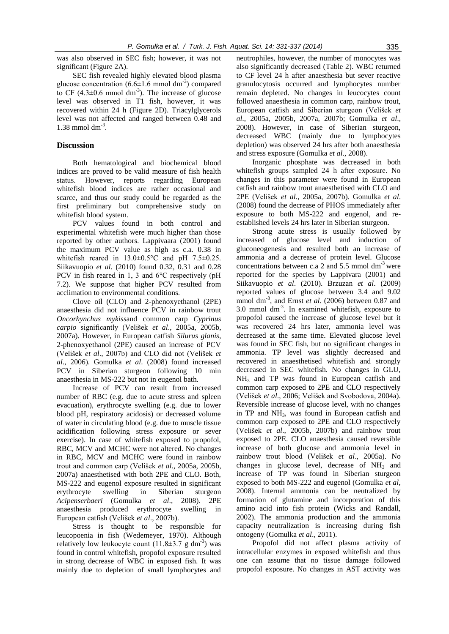was also observed in SEC fish; however, it was not significant (Figure 2A).

SEC fish revealed highly elevated blood plasma glucose concentration  $(6.6 \pm 1.6 \text{ mmol dm}^{-3})$  compared to CF  $(4.3\pm0.6 \text{ mmol dm}^{-3})$ . The increase of glucose level was observed in T1 fish, however, it was recovered within 24 h (Figure 2D). Triacylglycerols level was not affected and ranged between 0.48 and  $1.38$  mmol dm<sup>-3</sup>.

## **Discussion**

Both hematological and biochemical blood indices are proved to be valid measure of fish health status. However, reports regarding European whitefish blood indices are rather occasional and scarce, and thus our study could be regarded as the first preliminary but comprehensive study on whitefish blood system.

PCV values found in both control and experimental whitefish were much higher than those reported by other authors. Lappivaara (2001) found the maximum PCV value as high as c.a. 0.38 in whitefish reared in 13.0±0.5°C and pH 7.5±0.25. Siikavuopio *et al*. (2010) found 0.32, 0.31 and 0.28 PCV in fish reared in 1, 3 and 6°C respectively (pH 7.2). We suppose that higher PCV resulted from acclimation to environmental conditions.

Clove oil (CLO) and 2-phenoxyethanol (2PE) anaesthesia did not influence PCV in rainbow trout *Oncorhynchus mykiss*and common carp *Cyprinus carpio* significantly (Velišek *et al*., 2005a, 2005b, 2007a). However, in European catfish *Silurus glanis*, 2-phenoxyethanol (2PE) caused an increase of PCV (Velišek *et al*., 2007b) and CLO did not (Velišek *et al*., 2006). Gomulka *et al*. (2008) found increased PCV in Siberian sturgeon following 10 min anaesthesia in MS-222 but not in eugenol bath.

Increase of PCV can result from increased number of RBC (e.g. due to acute stress and spleen evacuation), erythrocyte swelling (e.g. due to lower blood pH, respiratory acidosis) or decreased volume of water in circulating blood (e.g. due to muscle tissue acidification following stress exposure or sever exercise). In case of whitefish exposed to propofol, RBC, MCV and MCHC were not altered. No changes in RBC, MCV and MCHC were found in rainbow trout and common carp (Velišek *et al*., 2005a, 2005b, 2007a) anaesthetised with both 2PE and CLO. Both, MS-222 and eugenol exposure resulted in significant erythrocyte swelling in Siberian sturgeon *Acipenserbaeri* (Gomulka *et al*., 2008). 2PE anaesthesia produced erythrocyte swelling in European catfish (Velišek *et al*., 2007b).

Stress is thought to be responsible for leucopoenia in fish (Wedemeyer, 1970). Although relatively low leukocyte count  $(11.8\pm3.7 \text{ g dm}^{-3})$  was found in control whitefish, propofol exposure resulted in strong decrease of WBC in exposed fish. It was mainly due to depletion of small lymphocytes and

neutrophiles, however, the number of monocytes was also significantly decreased (Table 2). WBC returned to CF level 24 h after anaesthesia but sever reactive granulocytosis occurred and lymphocytes number remain depleted. No changes in leucocytes count followed anaesthesia in common carp, rainbow trout, European catfish and Siberian sturgeon (Velišek *et al*., 2005a, 2005b, 2007a, 2007b; Gomulka *et al*., 2008). However, in case of Siberian sturgeon, decreased WBC (mainly due to lymphocytes depletion) was observed 24 hrs after both anaesthesia and stress exposure (Gomulka *et al*., 2008).

Inorganic phosphate was decreased in both whitefish groups sampled 24 h after exposure. No changes in this parameter were found in European catfish and rainbow trout anaesthetised with CLO and 2PE (Velišek *et al*., 2005a, 2007b). Gomulka *et al*. (2008) found the decrease of PHOS immediately after exposure to both MS-222 and eugenol, and reestablished levels 24 hrs later in Siberian sturgeon.

Strong acute stress is usually followed by increased of glucose level and induction of gluconeogenesis and resulted both an increase of ammonia and a decrease of protein level. Glucose concentrations between c.a 2 and  $5.5$  mmol dm<sup>-3</sup> were reported for the species by Lappivara (2001) and Siikavuopio *et al*. (2010). Brzuzan *et al*. (2009) reported values of glucose between 3.4 and 9.02 mmol dm<sup>-3</sup>, and Ernst *et al.* (2006) between 0.87 and  $3.0$  mmol dm<sup>-3</sup>. In examined whitefish, exposure to propofol caused the increase of glucose level but it was recovered 24 hrs later, ammonia level was decreased at the same time. Elevated glucose level was found in SEC fish, but no significant changes in ammonia. TP level was slightly decreased and recovered in anaesthetised whitefish and strongly decreased in SEC whitefish. No changes in GLU, NH<sup>3</sup> and TP was found in European catfish and common carp exposed to 2PE and CLO respectively (Velišek *et al*., 2006; Velišek and Svobodova, 2004a). Reversible increase of glucose level, with no changes in  $TP$  and  $NH<sub>3</sub>$ , was found in European catfish and common carp exposed to 2PE and CLO respectively (Velišek *et al*., 2005b, 2007b) and rainbow trout exposed to 2PE. CLO anaesthesia caused reversible increase of both glucose and ammonia level in rainbow trout blood (Velišek *et al*., 2005a). No changes in glucose level, decrease of  $NH<sub>3</sub>$  and increase of TP was found in Siberian sturgeon exposed to both MS-222 and eugenol (Gomulka *et al*, 2008). Internal ammonia can be neutralized by formation of glutamine and incorporation of this amino acid into fish protein (Wicks and Randall, 2002). The ammonia production and the ammonia capacity neutralization is increasing during fish ontogeny (Gomulka *et al*., 2011).

Propofol did not affect plasma activity of intracellular enzymes in exposed whitefish and thus one can assume that no tissue damage followed propofol exposure. No changes in AST activity was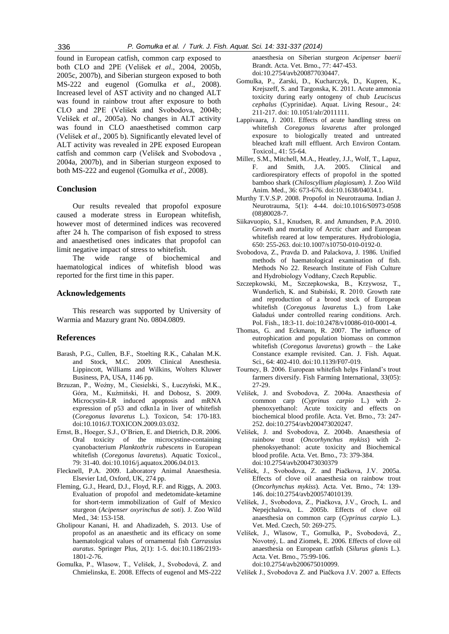found in European catfish, common carp exposed to both CLO and 2PE (Velišek *et al*., 2004, 2005b, 2005c, 2007b), and Siberian sturgeon exposed to both MS-222 and eugenol (Gomulka *et al*., 2008). Increased level of AST activity and no changed ALT was found in rainbow trout after exposure to both CLO and 2PE (Velišek and Svobodova, 2004b; Velišek *et al*., 2005a). No changes in ALT activity was found in CLO anaesthetised common carp (Velišek *et al*., 2005 b). Significantly elevated level of ALT activity was revealed in 2PE exposed European catfish and common carp (Velišek and Svobodova , 2004a, 2007b), and in Siberian sturgeon exposed to both MS-222 and eugenol (Gomulka *et al*., 2008).

## **Conclusion**

Our results revealed that propofol exposure caused a moderate stress in European whitefish, however most of determined indices was recovered after 24 h. The comparison of fish exposed to stress and anaesthetised ones indicates that propofol can limit negative impact of stress to whitefish.

The wide range of biochemical and haematological indices of whitefish blood was reported for the first time in this paper.

# **Acknowledgements**

This research was supported by University of Warmia and Mazury grant No. 0804.0809.

#### **References**

- Barash, P.G., Cullen, B.F., Stoelting R.K., Cahalan M.K. and Stock, M.C. 2009. Clinical Anesthesia. Lippincott, Williams and Wilkins, Wolters Kluwer Business, PA, USA, 1146 pp.
- Brzuzan, P., Woźny, M., Ciesielski, S., Łuczyński, M.K., Góra, M., Kuźmiński, H. and Dobosz, S. 2009. Microcystin-LR induced apoptosis and mRNA expression of p53 and cdkn1a in liver of whitefish (*Coregonus lavaretus* L.). Toxicon, 54: 170-183. doi:10.1016/J.TOXICON.2009.03.032.
- Ernst, B., Hoeger, S.J., O'Brien, E. and Dietrich, D.R. 2006. Oral toxicity of the microcystine-containing cyanobacterium *Planktothrix rubescens* in European whitefish (*Coregonus lavaretus*). Aquatic Toxicol., 79: 31-40. doi*:*10.1016/j.aquatox.2006.04.013.
- Flecknell, P.A. 2009. Laboratory Animal Anaesthesia. Elsevier Ltd, Oxford, UK, 274 pp.
- Fleming, G.J., Heard, D.J., Floyd, R.F. and Riggs, A. 2003. Evaluation of propofol and medetomidate-ketamine for short-term immobilization of Gulf of Mexico sturgeon (*Acipenser oxyrinchus de soti*). J. Zoo Wild Med., 34: 153-158.
- Gholipour Kanani, H. and Ahadizadeh, S. 2013. Use of propofol as an anaesthetic and its efficacy on some haematological values of ornamental fish *Carrassius auratus*. Springer Plus, 2(1): 1-5. doi:10.1186/2193- 1801-2-76.
- Gomulka, P., Wlasow, T., Velišek, J., Svobodová, Z. and Chmielinska, E. 2008. Effects of eugenol and MS-222

anaesthesia on Siberian sturgeon *Acipenser baerii* Brandt. Acta. Vet. Brno., 77: 447-453. doi*:*10.2754/avb200877030447.

- Gomulka, P., Zarski, D., Kucharczyk, D., Kupren, K., Krejszeff, S. and Targonska, K. 2011. Acute ammonia toxicity during early ontogeny of chub *Leuciscus cephalus* (Cyprinidae). Aquat. Living Resour., 24: 211-217. doi: 10.1051/alr/2011111.
- Lappivaara, J. 2001. Effects of acute handling stress on whitefish *Coregonus lavaretus* after prolonged exposure to biologically treated and untreated bleached kraft mill effluent. Arch Environ Contam. Toxicol., 41: 55-64.
- Miller, S.M., Mitchell, M.A., Heatley, J.J., Wolf, T., Lapuz, F. and Smith, J.A. 2005. Clinical and cardiorespiratory effects of propofol in the spotted bamboo shark (*Chiloscyllium plagiosum*). J. Zoo Wild Anim. Med., 36: 673-676. doi:10.1638/04034.1.
- Murthy T.V.S.P. 2008. Propofol in Neurotrauma. Indian J. Neurotrauma, 5(1): 4-44. doi:10.1016/S0973-0508 (08)80028-7.
- Siikavuopio, S.I., Knudsen, R. and Amundsen, P.A. 2010. Growth and mortality of Arctic charr and European whitefish reared at low temperatures. Hydrobiologia, 650: 255-263. doi:10.1007/s10750-010-0192-0.
- Svobodova, Z., Pravda D. and Palackova, J. 1986. Unified methods of haematological examination of fish. Methods No 22. Research Institute of Fish Culture and Hydrobiology Vodňany, Czech Republic.
- Szczepkowski, M., Szczepkowska, B., Krzywosz, T., Wunderlich, K. and Stabiński, R. 2010. Growth rate and reproduction of a brood stock of European whitefish (*Coregonus lavaretus* L.) from Lake Gaładuś under controlled rearing conditions. Arch. Pol. Fish., 18:3-11. doi:10.2478/v10086-010-0001-4.
- Thomas, G. and Eckmann, R. 2007. The influence of eutrophication and population biomass on common whitefish (*Coregonus lavaretus*) growth – the Lake Constance example revisited. Can. J. Fish. Aquat. Sci., 64: 402-410. doi*:*10.1139/F07-019.
- Tourney, B. 2006. European whitefish helps Finland's trout farmers diversify. Fish Farming International, 33(05): 27-29.
- Velišek, J. and Svobodova, Z. 2004a. Anaesthesia of common carp (*Cyprinus carpio* L.) with 2 phenoxyethanol: Acute toxicity and effects on biochemical blood profile. Acta. Vet. Brno., 73: 247- 252. doi:10.2754/avb200473020247.
- Velišek, J. and Svobodova, Z. 2004b. Anaesthesia of rainbow trout (*Oncorhynchus mykiss*) with 2 phenoksyethanol: acute toxicity and Biochemical blood profile. Acta. Vet. Brno., 73: 379-384. doi*:*10.2754/avb200473030379
- Velíšek, J., Svobodova, Z. and Piačkova, J.V. 2005a. Effects of clove oil anaesthesia on rainbow trout (*Oncorhynchus mykiss*). Acta. Vet. Brno., 74: 139- 146. doi:10.2754/avb200574010139.
- Velíšek, J., Svobodova, Z., Piačkova, J.V., Groch, L. and Nepejchalova, L. 2005b. Effects of clove oil anaesthesia on common carp (*Cyprinus carpio* L.). Vet. Med. Czech, 50: 269-275.
- Velíšek, J., Wlasow, T., Gomulka, P., Svobodová, Z., Novotný, L. and Ziomek, E. 2006. Effects of clove oil anaesthesia on European catfish (*Silurus glanis* L.). Acta. Vet. Brno., 75:99-106. doi:10.2754/avb200675010099.

Velíšek J., Svobodova Z. and Piačkova J.V. 2007 a. Effects